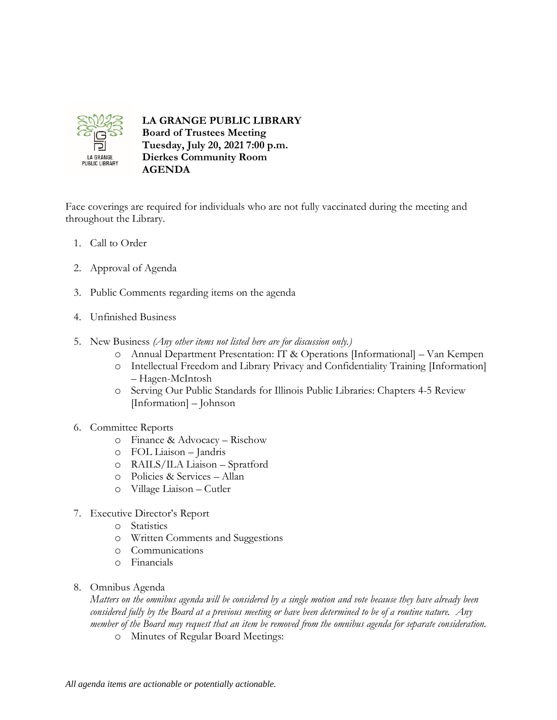

## **LA GRANGE PUBLIC LIBRARY Board of Trustees Meeting Tuesday, July 20, 2021 7:00 p.m. Dierkes Community Room**

Face coverings are required for individuals who are not fully vaccinated during the meeting and throughout the Library.

- 1. Call to Order
- 2. Approval of Agenda
- 3. Public Comments regarding items on the agenda

**AGENDA**

- 4. Unfinished Business
- 5. New Business *(Any other items not listed here are for discussion only.)*
	- o Annual Department Presentation: IT & Operations [Informational] Van Kempen
	- o Intellectual Freedom and Library Privacy and Confidentiality Training [Information] – Hagen-McIntosh
	- o Serving Our Public Standards for Illinois Public Libraries: Chapters 4-5 Review [Information] – Johnson
- 6. Committee Reports
	- o Finance & Advocacy Rischow
	- o FOL Liaison Jandris
	- o RAILS/ILA Liaison Spratford
	- o Policies & Services Allan
	- o Village Liaison Cutler
- 7. Executive Director's Report
	- o Statistics
	- o Written Comments and Suggestions
	- o Communications
	- o Financials
- 8. Omnibus Agenda

*Matters on the omnibus agenda will be considered by a single motion and vote because they have already been considered fully by the Board at a previous meeting or have been determined to be of a routine nature. Any member of the Board may request that an item be removed from the omnibus agenda for separate consideration.*

o Minutes of Regular Board Meetings: